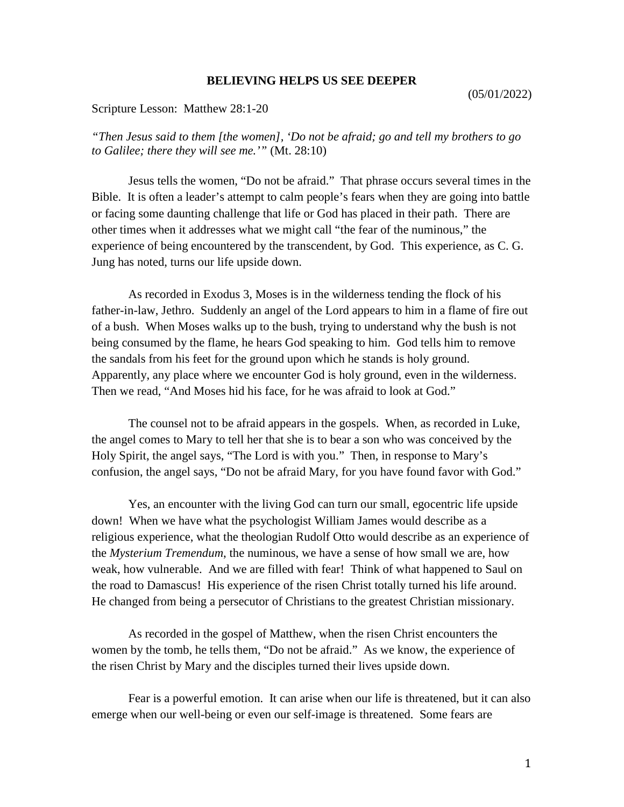## **BELIEVING HELPS US SEE DEEPER**

Scripture Lesson: Matthew 28:1-20

*"Then Jesus said to them [the women], 'Do not be afraid; go and tell my brothers to go to Galilee; there they will see me.'"* (Mt. 28:10)

Jesus tells the women, "Do not be afraid." That phrase occurs several times in the Bible. It is often a leader's attempt to calm people's fears when they are going into battle or facing some daunting challenge that life or God has placed in their path. There are other times when it addresses what we might call "the fear of the numinous," the experience of being encountered by the transcendent, by God. This experience, as C. G. Jung has noted, turns our life upside down.

As recorded in Exodus 3, Moses is in the wilderness tending the flock of his father-in-law, Jethro. Suddenly an angel of the Lord appears to him in a flame of fire out of a bush. When Moses walks up to the bush, trying to understand why the bush is not being consumed by the flame, he hears God speaking to him. God tells him to remove the sandals from his feet for the ground upon which he stands is holy ground. Apparently, any place where we encounter God is holy ground, even in the wilderness. Then we read, "And Moses hid his face, for he was afraid to look at God."

The counsel not to be afraid appears in the gospels. When, as recorded in Luke, the angel comes to Mary to tell her that she is to bear a son who was conceived by the Holy Spirit, the angel says, "The Lord is with you." Then, in response to Mary's confusion, the angel says, "Do not be afraid Mary, for you have found favor with God."

Yes, an encounter with the living God can turn our small, egocentric life upside down! When we have what the psychologist William James would describe as a religious experience, what the theologian Rudolf Otto would describe as an experience of the *Mysterium Tremendum*, the numinous, we have a sense of how small we are, how weak, how vulnerable. And we are filled with fear! Think of what happened to Saul on the road to Damascus! His experience of the risen Christ totally turned his life around. He changed from being a persecutor of Christians to the greatest Christian missionary.

As recorded in the gospel of Matthew, when the risen Christ encounters the women by the tomb, he tells them, "Do not be afraid." As we know, the experience of the risen Christ by Mary and the disciples turned their lives upside down.

Fear is a powerful emotion. It can arise when our life is threatened, but it can also emerge when our well-being or even our self-image is threatened. Some fears are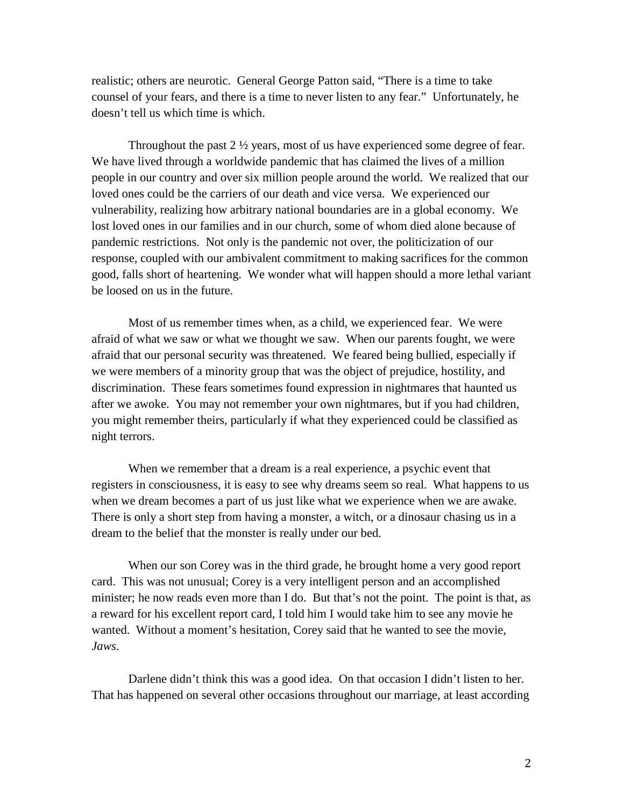realistic; others are neurotic. General George Patton said, "There is a time to take counsel of your fears, and there is a time to never listen to any fear." Unfortunately, he doesn't tell us which time is which.

Throughout the past  $2 \frac{1}{2}$  years, most of us have experienced some degree of fear. We have lived through a worldwide pandemic that has claimed the lives of a million people in our country and over six million people around the world. We realized that our loved ones could be the carriers of our death and vice versa. We experienced our vulnerability, realizing how arbitrary national boundaries are in a global economy. We lost loved ones in our families and in our church, some of whom died alone because of pandemic restrictions. Not only is the pandemic not over, the politicization of our response, coupled with our ambivalent commitment to making sacrifices for the common good, falls short of heartening. We wonder what will happen should a more lethal variant be loosed on us in the future.

Most of us remember times when, as a child, we experienced fear. We were afraid of what we saw or what we thought we saw. When our parents fought, we were afraid that our personal security was threatened. We feared being bullied, especially if we were members of a minority group that was the object of prejudice, hostility, and discrimination. These fears sometimes found expression in nightmares that haunted us after we awoke. You may not remember your own nightmares, but if you had children, you might remember theirs, particularly if what they experienced could be classified as night terrors.

When we remember that a dream is a real experience, a psychic event that registers in consciousness, it is easy to see why dreams seem so real. What happens to us when we dream becomes a part of us just like what we experience when we are awake. There is only a short step from having a monster, a witch, or a dinosaur chasing us in a dream to the belief that the monster is really under our bed.

When our son Corey was in the third grade, he brought home a very good report card. This was not unusual; Corey is a very intelligent person and an accomplished minister; he now reads even more than I do. But that's not the point. The point is that, as a reward for his excellent report card, I told him I would take him to see any movie he wanted. Without a moment's hesitation, Corey said that he wanted to see the movie*, Jaws*.

Darlene didn't think this was a good idea. On that occasion I didn't listen to her. That has happened on several other occasions throughout our marriage, at least according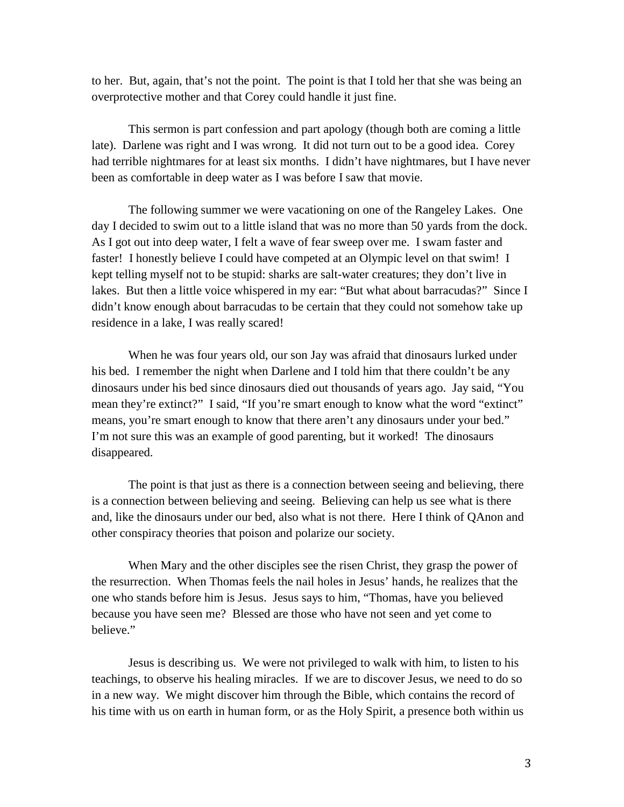to her. But, again, that's not the point. The point is that I told her that she was being an overprotective mother and that Corey could handle it just fine.

This sermon is part confession and part apology (though both are coming a little late). Darlene was right and I was wrong. It did not turn out to be a good idea. Corey had terrible nightmares for at least six months. I didn't have nightmares, but I have never been as comfortable in deep water as I was before I saw that movie.

The following summer we were vacationing on one of the Rangeley Lakes. One day I decided to swim out to a little island that was no more than 50 yards from the dock. As I got out into deep water, I felt a wave of fear sweep over me. I swam faster and faster! I honestly believe I could have competed at an Olympic level on that swim! I kept telling myself not to be stupid: sharks are salt-water creatures; they don't live in lakes. But then a little voice whispered in my ear: "But what about barracudas?" Since I didn't know enough about barracudas to be certain that they could not somehow take up residence in a lake, I was really scared!

When he was four years old, our son Jay was afraid that dinosaurs lurked under his bed. I remember the night when Darlene and I told him that there couldn't be any dinosaurs under his bed since dinosaurs died out thousands of years ago. Jay said, "You mean they're extinct?" I said, "If you're smart enough to know what the word "extinct" means, you're smart enough to know that there aren't any dinosaurs under your bed." I'm not sure this was an example of good parenting, but it worked! The dinosaurs disappeared.

The point is that just as there is a connection between seeing and believing, there is a connection between believing and seeing. Believing can help us see what is there and, like the dinosaurs under our bed, also what is not there. Here I think of QAnon and other conspiracy theories that poison and polarize our society.

When Mary and the other disciples see the risen Christ, they grasp the power of the resurrection. When Thomas feels the nail holes in Jesus' hands, he realizes that the one who stands before him is Jesus. Jesus says to him, "Thomas, have you believed because you have seen me? Blessed are those who have not seen and yet come to believe."

Jesus is describing us. We were not privileged to walk with him, to listen to his teachings, to observe his healing miracles. If we are to discover Jesus, we need to do so in a new way. We might discover him through the Bible, which contains the record of his time with us on earth in human form, or as the Holy Spirit, a presence both within us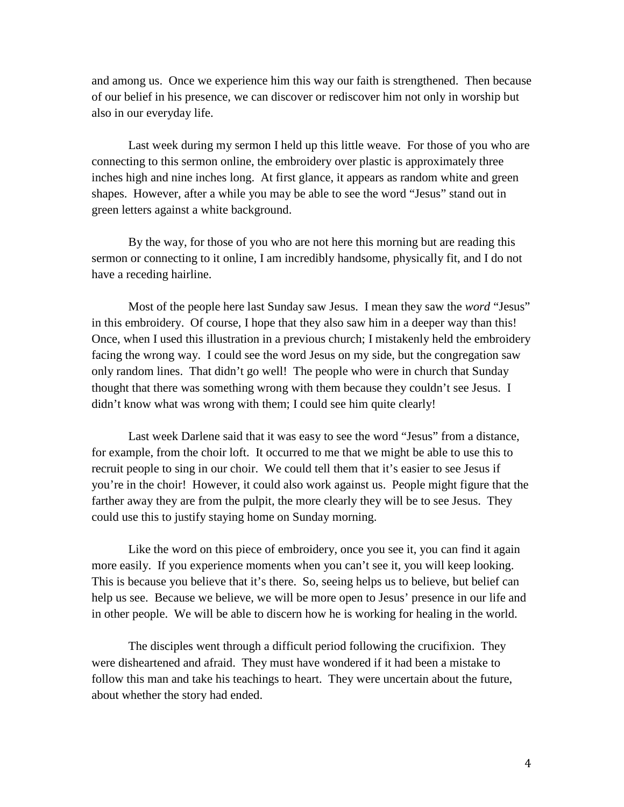and among us. Once we experience him this way our faith is strengthened. Then because of our belief in his presence, we can discover or rediscover him not only in worship but also in our everyday life.

Last week during my sermon I held up this little weave. For those of you who are connecting to this sermon online, the embroidery over plastic is approximately three inches high and nine inches long. At first glance, it appears as random white and green shapes. However, after a while you may be able to see the word "Jesus" stand out in green letters against a white background.

By the way, for those of you who are not here this morning but are reading this sermon or connecting to it online, I am incredibly handsome, physically fit, and I do not have a receding hairline.

Most of the people here last Sunday saw Jesus. I mean they saw the *word* "Jesus" in this embroidery. Of course, I hope that they also saw him in a deeper way than this! Once, when I used this illustration in a previous church; I mistakenly held the embroidery facing the wrong way. I could see the word Jesus on my side, but the congregation saw only random lines. That didn't go well! The people who were in church that Sunday thought that there was something wrong with them because they couldn't see Jesus. I didn't know what was wrong with them; I could see him quite clearly!

Last week Darlene said that it was easy to see the word "Jesus" from a distance, for example, from the choir loft. It occurred to me that we might be able to use this to recruit people to sing in our choir. We could tell them that it's easier to see Jesus if you're in the choir! However, it could also work against us. People might figure that the farther away they are from the pulpit, the more clearly they will be to see Jesus. They could use this to justify staying home on Sunday morning.

Like the word on this piece of embroidery, once you see it, you can find it again more easily. If you experience moments when you can't see it, you will keep looking. This is because you believe that it's there. So, seeing helps us to believe, but belief can help us see. Because we believe, we will be more open to Jesus' presence in our life and in other people. We will be able to discern how he is working for healing in the world.

The disciples went through a difficult period following the crucifixion. They were disheartened and afraid. They must have wondered if it had been a mistake to follow this man and take his teachings to heart. They were uncertain about the future, about whether the story had ended.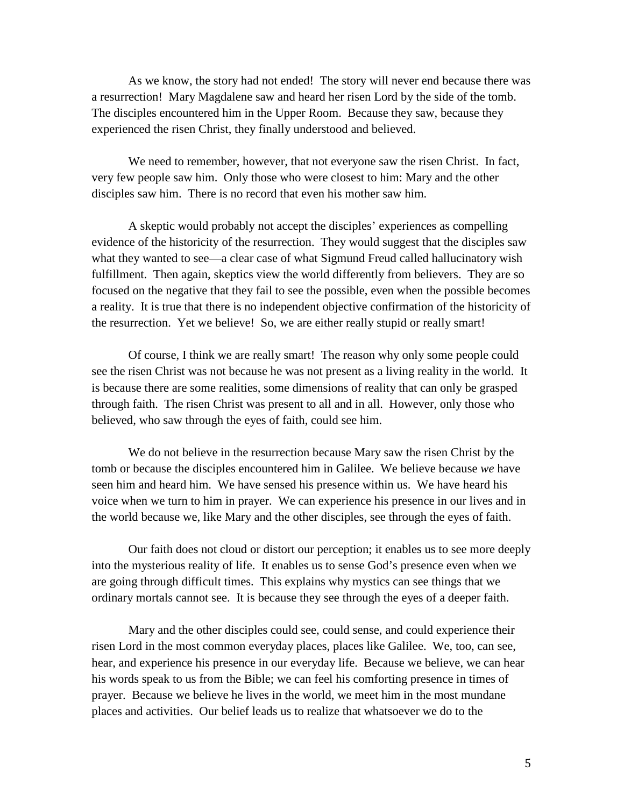As we know, the story had not ended! The story will never end because there was a resurrection! Mary Magdalene saw and heard her risen Lord by the side of the tomb. The disciples encountered him in the Upper Room. Because they saw, because they experienced the risen Christ, they finally understood and believed.

We need to remember, however, that not everyone saw the risen Christ. In fact, very few people saw him. Only those who were closest to him: Mary and the other disciples saw him. There is no record that even his mother saw him.

A skeptic would probably not accept the disciples' experiences as compelling evidence of the historicity of the resurrection. They would suggest that the disciples saw what they wanted to see—a clear case of what Sigmund Freud called hallucinatory wish fulfillment. Then again, skeptics view the world differently from believers. They are so focused on the negative that they fail to see the possible, even when the possible becomes a reality. It is true that there is no independent objective confirmation of the historicity of the resurrection. Yet we believe! So, we are either really stupid or really smart!

Of course, I think we are really smart! The reason why only some people could see the risen Christ was not because he was not present as a living reality in the world. It is because there are some realities, some dimensions of reality that can only be grasped through faith. The risen Christ was present to all and in all. However, only those who believed, who saw through the eyes of faith, could see him.

We do not believe in the resurrection because Mary saw the risen Christ by the tomb or because the disciples encountered him in Galilee. We believe because *we* have seen him and heard him. We have sensed his presence within us. We have heard his voice when we turn to him in prayer. We can experience his presence in our lives and in the world because we, like Mary and the other disciples, see through the eyes of faith.

Our faith does not cloud or distort our perception; it enables us to see more deeply into the mysterious reality of life. It enables us to sense God's presence even when we are going through difficult times. This explains why mystics can see things that we ordinary mortals cannot see. It is because they see through the eyes of a deeper faith.

Mary and the other disciples could see, could sense, and could experience their risen Lord in the most common everyday places, places like Galilee. We, too, can see, hear, and experience his presence in our everyday life. Because we believe, we can hear his words speak to us from the Bible; we can feel his comforting presence in times of prayer. Because we believe he lives in the world, we meet him in the most mundane places and activities. Our belief leads us to realize that whatsoever we do to the